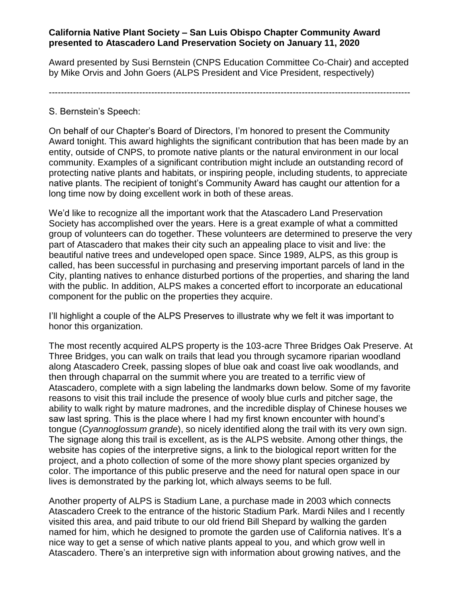## **California Native Plant Society – San Luis Obispo Chapter Community Award presented to Atascadero Land Preservation Society on January 11, 2020**

Award presented by Susi Bernstein (CNPS Education Committee Co-Chair) and accepted by Mike Orvis and John Goers (ALPS President and Vice President, respectively)

------------------------------------------------------------------------------------------------------------------------

## S. Bernstein's Speech:

On behalf of our Chapter's Board of Directors, I'm honored to present the Community Award tonight. This award highlights the significant contribution that has been made by an entity, outside of CNPS, to promote native plants or the natural environment in our local community. Examples of a significant contribution might include an outstanding record of protecting native plants and habitats, or inspiring people, including students, to appreciate native plants. The recipient of tonight's Community Award has caught our attention for a long time now by doing excellent work in both of these areas.

We'd like to recognize all the important work that the Atascadero Land Preservation Society has accomplished over the years. Here is a great example of what a committed group of volunteers can do together. These volunteers are determined to preserve the very part of Atascadero that makes their city such an appealing place to visit and live: the beautiful native trees and undeveloped open space. Since 1989, ALPS, as this group is called, has been successful in purchasing and preserving important parcels of land in the City, planting natives to enhance disturbed portions of the properties, and sharing the land with the public. In addition, ALPS makes a concerted effort to incorporate an educational component for the public on the properties they acquire.

I'll highlight a couple of the ALPS Preserves to illustrate why we felt it was important to honor this organization.

The most recently acquired ALPS property is the 103-acre Three Bridges Oak Preserve. At Three Bridges, you can walk on trails that lead you through sycamore riparian woodland along Atascadero Creek, passing slopes of blue oak and coast live oak woodlands, and then through chaparral on the summit where you are treated to a terrific view of Atascadero, complete with a sign labeling the landmarks down below. Some of my favorite reasons to visit this trail include the presence of wooly blue curls and pitcher sage, the ability to walk right by mature madrones, and the incredible display of Chinese houses we saw last spring. This is the place where I had my first known encounter with hound's tongue (*Cyannoglossum grande*), so nicely identified along the trail with its very own sign. The signage along this trail is excellent, as is the ALPS website. Among other things, the website has copies of the interpretive signs, a link to the biological report written for the project, and a photo collection of some of the more showy plant species organized by color. The importance of this public preserve and the need for natural open space in our lives is demonstrated by the parking lot, which always seems to be full.

Another property of ALPS is Stadium Lane, a purchase made in 2003 which connects Atascadero Creek to the entrance of the historic Stadium Park. Mardi Niles and I recently visited this area, and paid tribute to our old friend Bill Shepard by walking the garden named for him, which he designed to promote the garden use of California natives. It's a nice way to get a sense of which native plants appeal to you, and which grow well in Atascadero. There's an interpretive sign with information about growing natives, and the